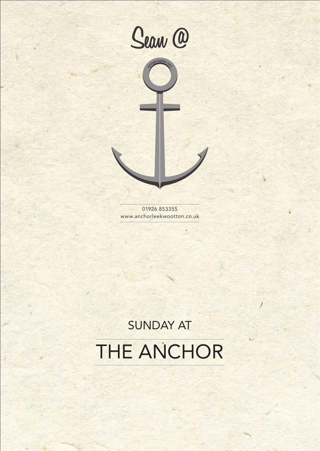



01926 853355 www.anchorleekwootton.co.uk

# SUNDAY AT THE ANCHOR